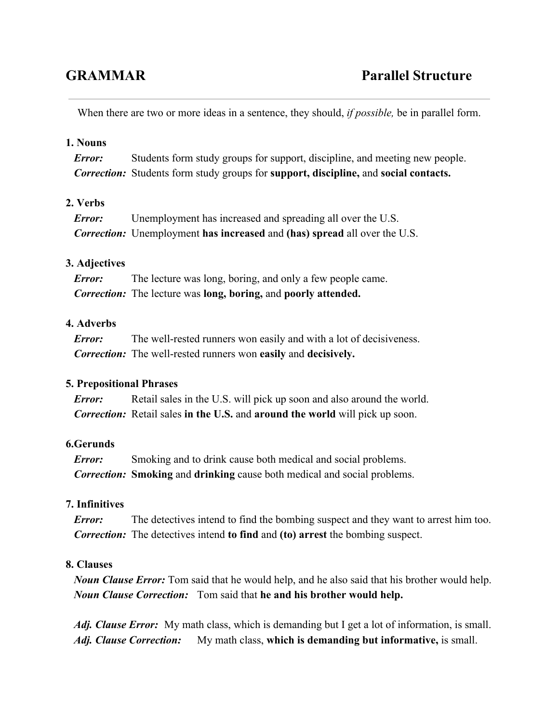When there are two or more ideas in a sentence, they should, *if possible,* be in parallel form.

## **1. Nouns**

*Error:* Students form study groups for support, discipline, and meeting new people. *Correction:* Students form study groups for **support, discipline,** and **social contacts.**

# **2. Verbs**

| Error: | Unemployment has increased and spreading all over the U.S.                       |
|--------|----------------------------------------------------------------------------------|
|        | <b>Correction:</b> Unemployment has increased and (has) spread all over the U.S. |

### **3. Adjectives**

*Error:* The lecture was long, boring, and only a few people came. *Correction:* The lecture was **long, boring,**and **poorly attended.**

## **4. Adverbs**

*Error:* The well-rested runners won easily and with a lot of decisiveness. *Correction:* The well-rested runners won **easily** and **decisively.** 

#### **5. Prepositional Phrases**

*Error:* Retail sales in the U.S. will pick up soon and also around the world. *Correction:* Retail sales **in the U.S.** and **around the world**will pick up soon.

#### **6.Gerunds**

*Error:* Smoking and to drink cause both medical and social problems. *Correction:* **Smoking** and **drinking** cause both medical and social problems.

# **7. Infinitives**

*Error:* The detectives intend to find the bombing suspect and they want to arrest him too. *Correction:* The detectives intend **to find** and **(to) arrest**the bombing suspect.

## **8. Clauses**

*Noun Clause Error:* Tom said that he would help, and he also said that his brother would help. *Noun Clause Correction:* Tom said that **he and his brother would help.**

*Adj. Clause Error:* My math class, which is demanding but I get a lot of information, is small. *Adj. Clause Correction:* My math class, **which is demanding but informative,**is small.